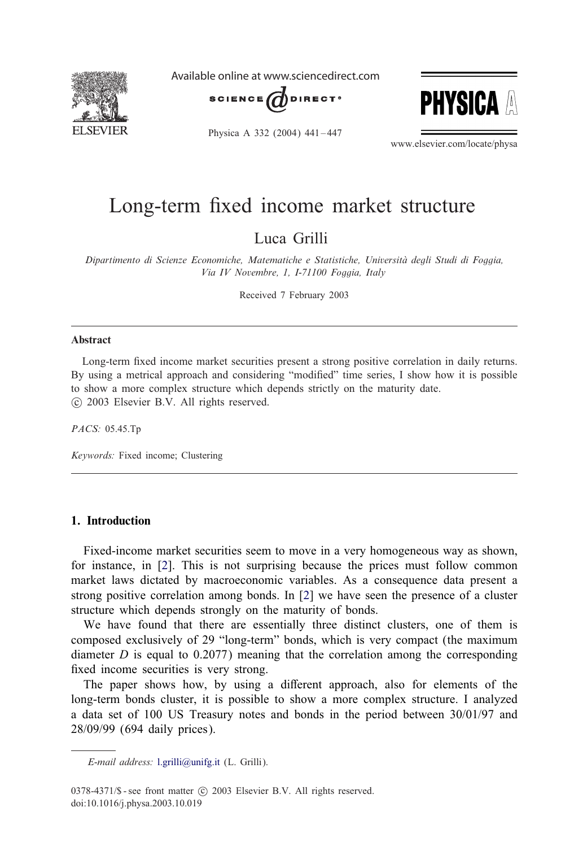

Available online at www.sciencedirect.com





Physica A 332 (2004) 441-447

www.elsevier.com/locate/physa

## Long-term fixed income market structure

Luca Grilli

*Dipartimento di Scienze Economiche, Matematiche e Statistiche, Universita degli Studi di Foggia, Via IV Novembre, 1, I-71100 Foggia, Italy*

Received 7 February 2003

#### Abstract

Long-term fixed income market securities present a strong positive correlation in daily returns. By using a metrical approach and considering "modified" time series, I show how it is possible to show a more complex structure which depends strictly on the maturity date. c 2003 Elsevier B.V. All rights reserved.

*PACS:* 05.45.Tp

*Keywords:* Fixed income; Clustering

#### 1. Introduction

Fixed-income market securities seem to move in a very homogeneous way as shown, for instance, in [\[2\]](#page--1-0). This is not surprising because the prices must follow common market laws dictated by macroeconomic variables. As a consequence data present a strong positive correlation among bonds. In [\[2\]](#page--1-0) we have seen the presence of a cluster structure which depends strongly on the maturity of bonds.

We have found that there are essentially three distinct clusters, one of them is composed exclusively of 29 "long-term" bonds, which is very compact (the maximum diameter  $D$  is equal to 0.2077) meaning that the correlation among the corresponding fixed income securities is very strong.

The paper shows how, by using a different approach, also for elements of the long-term bonds cluster, it is possible to show a more complex structure. I analyzed a data set of 100 US Treasury notes and bonds in the period between 30/01/97 and 28/09/99 (694 daily prices).

*E-mail address:* [l.grilli@unifg.it](mailto:l.grilli@unifg.it) (L. Grilli).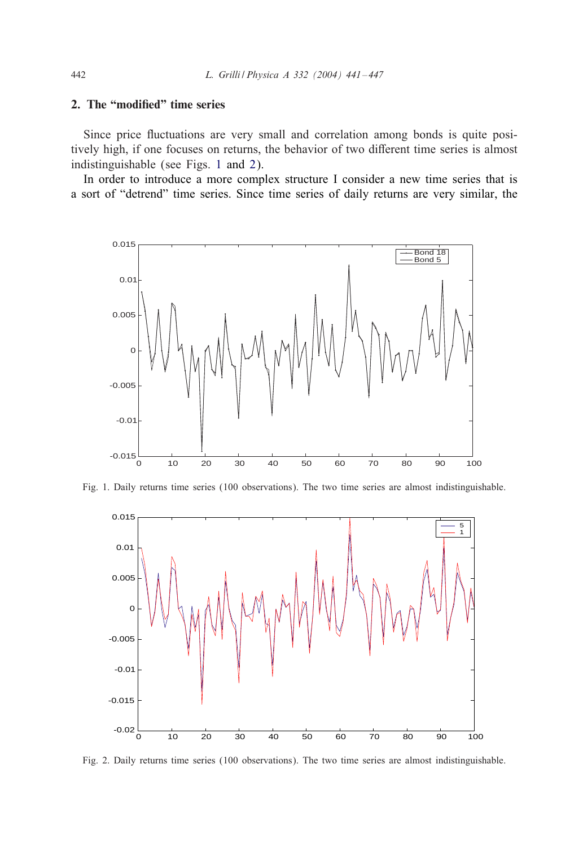### 2. The "modified" time series

Since price fluctuations are very small and correlation among bonds is quite positively high, if one focuses on returns, the behavior of two different time series is almost indistinguishable (see Figs. 1 and 2).

In order to introduce a more complex structure I consider a new time series that is a sort of "detrend" time series. Since time series of daily returns are very similar, the



Fig. 1. Daily returns time series (100 observations). The two time series are almost indistinguishable.



Fig. 2. Daily returns time series (100 observations). The two time series are almost indistinguishable.